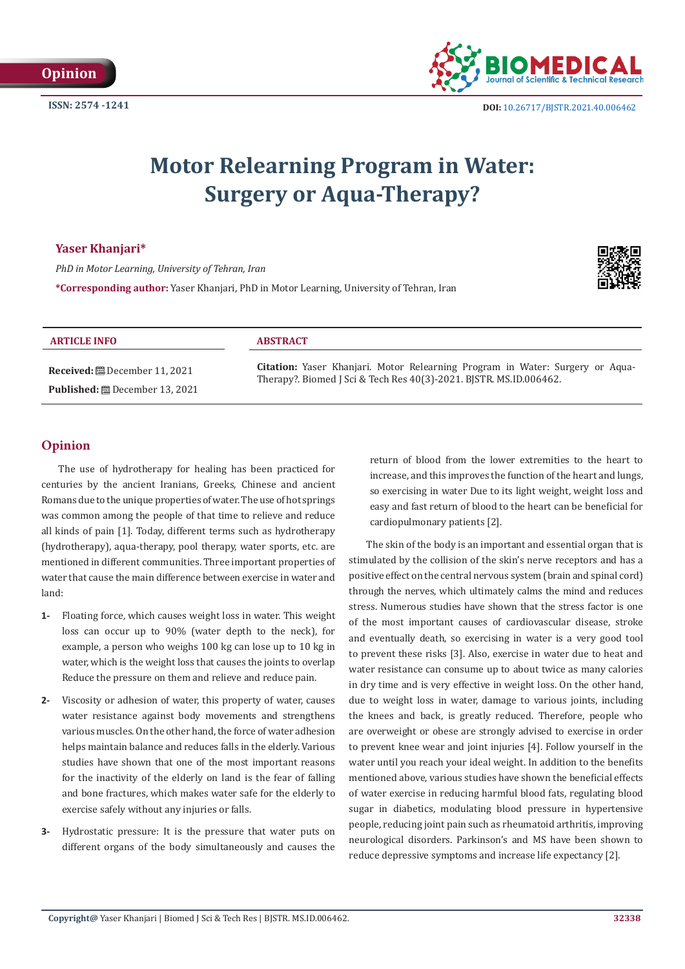

# **Motor Relearning Program in Water: Surgery or Aqua-Therapy?**

# **Yaser Khanjari\***

*PhD in Motor Learning, University of Tehran, Iran*

**\*Corresponding author:** Yaser Khanjari, PhD in Motor Learning, University of Tehran, Iran



### **ARTICLE INFO ABSTRACT**

**Received:** December 11, 2021 **Published:** December 13, 2021

**Citation:** Yaser Khanjari. Motor Relearning Program in Water: Surgery or Aqua-Therapy?. Biomed J Sci & Tech Res 40(3)-2021. BJSTR. MS.ID.006462.

# **Opinion**

The use of hydrotherapy for healing has been practiced for centuries by the ancient Iranians, Greeks, Chinese and ancient Romans due to the unique properties of water. The use of hot springs was common among the people of that time to relieve and reduce all kinds of pain [1]. Today, different terms such as hydrotherapy (hydrotherapy), aqua-therapy, pool therapy, water sports, etc. are mentioned in different communities. Three important properties of water that cause the main difference between exercise in water and land:

- **1-** Floating force, which causes weight loss in water. This weight loss can occur up to 90% (water depth to the neck), for example, a person who weighs 100 kg can lose up to 10 kg in water, which is the weight loss that causes the joints to overlap Reduce the pressure on them and relieve and reduce pain.
- **2-** Viscosity or adhesion of water, this property of water, causes water resistance against body movements and strengthens various muscles. On the other hand, the force of water adhesion helps maintain balance and reduces falls in the elderly. Various studies have shown that one of the most important reasons for the inactivity of the elderly on land is the fear of falling and bone fractures, which makes water safe for the elderly to exercise safely without any injuries or falls.
- **3-** Hydrostatic pressure: It is the pressure that water puts on different organs of the body simultaneously and causes the

return of blood from the lower extremities to the heart to increase, and this improves the function of the heart and lungs, so exercising in water Due to its light weight, weight loss and easy and fast return of blood to the heart can be beneficial for cardiopulmonary patients [2].

The skin of the body is an important and essential organ that is stimulated by the collision of the skin's nerve receptors and has a positive effect on the central nervous system (brain and spinal cord) through the nerves, which ultimately calms the mind and reduces stress. Numerous studies have shown that the stress factor is one of the most important causes of cardiovascular disease, stroke and eventually death, so exercising in water is a very good tool to prevent these risks [3]. Also, exercise in water due to heat and water resistance can consume up to about twice as many calories in dry time and is very effective in weight loss. On the other hand, due to weight loss in water, damage to various joints, including the knees and back, is greatly reduced. Therefore, people who are overweight or obese are strongly advised to exercise in order to prevent knee wear and joint injuries [4]. Follow yourself in the water until you reach your ideal weight. In addition to the benefits mentioned above, various studies have shown the beneficial effects of water exercise in reducing harmful blood fats, regulating blood sugar in diabetics, modulating blood pressure in hypertensive people, reducing joint pain such as rheumatoid arthritis, improving neurological disorders. Parkinson's and MS have been shown to reduce depressive symptoms and increase life expectancy [2].